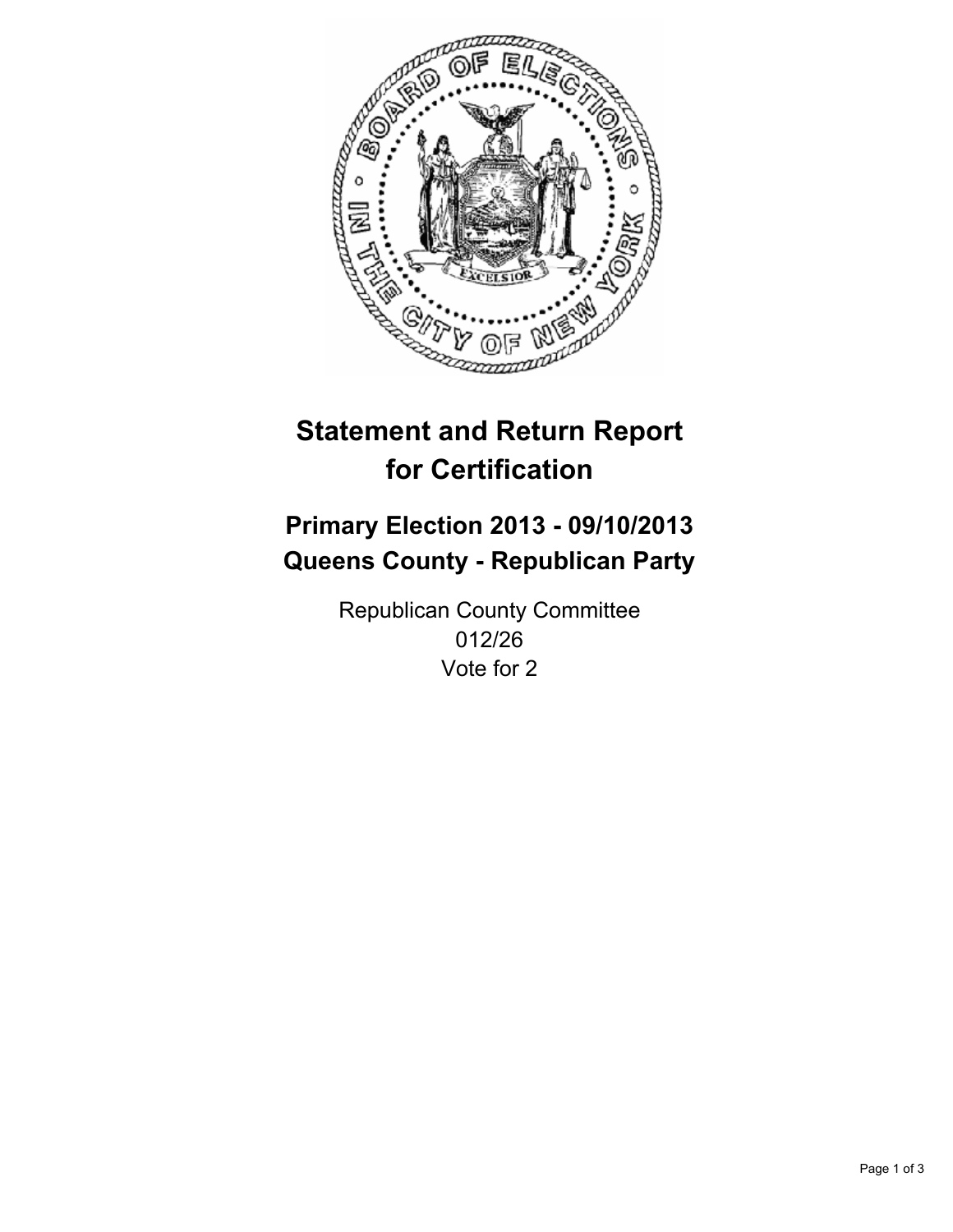

# **Statement and Return Report for Certification**

# **Primary Election 2013 - 09/10/2013 Queens County - Republican Party**

Republican County Committee 012/26 Vote for 2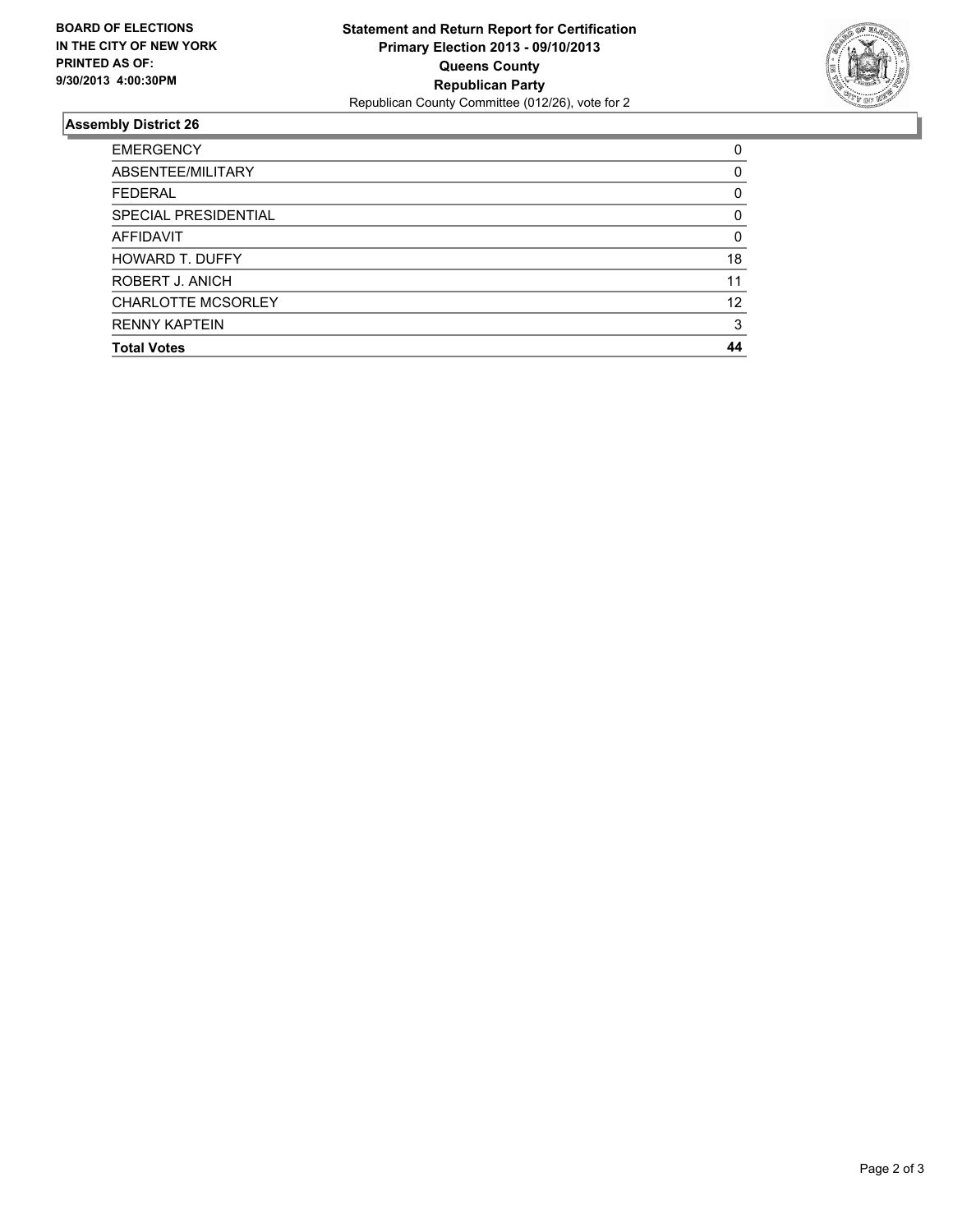

## **Assembly District 26**

| <b>EMERGENCY</b>          | 0  |
|---------------------------|----|
| ABSENTEE/MILITARY         | 0  |
| <b>FEDERAL</b>            | 0  |
| SPECIAL PRESIDENTIAL      | 0  |
| AFFIDAVIT                 | 0  |
| <b>HOWARD T. DUFFY</b>    | 18 |
| ROBERT J. ANICH           | 11 |
| <b>CHARLOTTE MCSORLEY</b> | 12 |
| <b>RENNY KAPTEIN</b>      | 3  |
| <b>Total Votes</b>        | 44 |